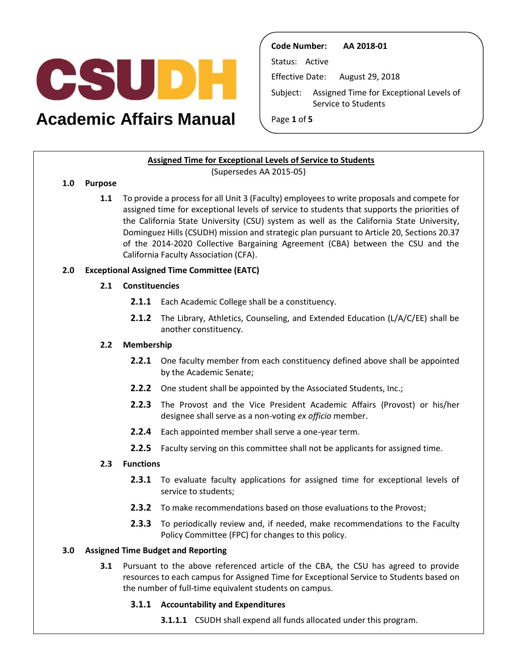

# **Academic Affairs Manual**

**Code Number: AA 2018-01** 

Status: Active

Effective Date: August 29, 2018

Subject: Assigned Time for Exceptional Levels of Service to Students

Page **1** of **5** 

# **Assigned Time for Exceptional Levels of Service to Students**

(Supersedes AA 2015-05)

## **1.0 Purpose**

 **1.1** To provide a process for all Unit 3 (Faculty) employees to write proposals and compete for assigned time for exceptional levels of service to students that supports the priorities of the California State University (CSU) system as well as the California State University, of the 2014-2020 Collective Bargaining Agreement (CBA) between the CSU and the Dominguez Hills (CSUDH) mission and strategic plan pursuant to Article 20, Sections 20.37 California Faculty Association (CFA).

# **2.0 Exceptional Assigned Time Committee (EATC)**

## **2.1 Constituencies**

- **2.1.1** Each Academic College shall be a constituency.
- **2.1.2** The Library, Athletics, Counseling, and Extended Education (L/A/C/EE) shall be another constituency.

# **2.2 Membership**

- **2.2.1** One faculty member from each constituency defined above shall be appointed by the Academic Senate;
- **2.2.2** One student shall be appointed by the Associated Students, Inc.;
- **2.2.3** The Provost and the Vice President Academic Affairs (Provost) or his/her designee shall serve as a non-voting *ex officio* member.
- **2.2.4** Each appointed member shall serve a one-year term.
- **2.2.5** Faculty serving on this committee shall not be applicants for assigned time.

## **2.3 Functions**

- **2.3.1** To evaluate faculty applications for assigned time for exceptional levels of service to students;
- **2.3.2** To make recommendations based on those evaluations to the Provost;
- **2.3.3** To periodically review and, if needed, make recommendations to the Faculty Policy Committee (FPC) for changes to this policy.

# **3.0 Assigned Time Budget and Reporting**

 **3.1** Pursuant to the above referenced article of the CBA, the CSU has agreed to provide resources to each campus for Assigned Time for Exceptional Service to Students based on the number of full-time equivalent students on campus.

## **3.1.1 Accountability and Expenditures**

**3.1.1.1** CSUDH shall expend all funds allocated under this program.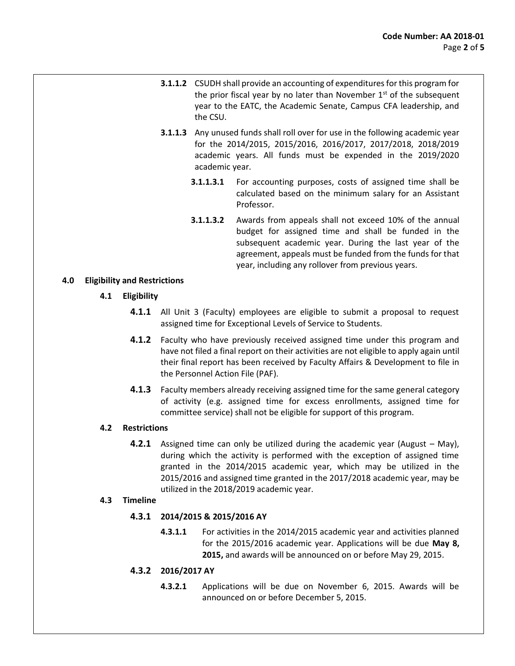- **3.1.1.2** CSUDH shall provide an accounting of expenditures for this program for the prior fiscal year by no later than November  $1<sup>st</sup>$  of the subsequent year to the EATC, the Academic Senate, Campus CFA leadership, and the CSU.
- academic years. All funds must be expended in the 2019/2020 **3.1.1.3** Any unused funds shall roll over for use in the following academic year for the 2014/2015, 2015/2016, 2016/2017, 2017/2018, 2018/2019 academic year.
	- **3.1.1.3.1** For accounting purposes, costs of assigned time shall be calculated based on the minimum salary for an Assistant Professor.
	- **3.1.1.3.2** Awards from appeals shall not exceed 10% of the annual budget for assigned time and shall be funded in the subsequent academic year. During the last year of the agreement, appeals must be funded from the funds for that year, including any rollover from previous years.

## **4.0 Eligibility and Restrictions**

- **4.1 Eligibility** 
	- **4.1.1** All Unit 3 (Faculty) employees are eligible to submit a proposal to request assigned time for Exceptional Levels of Service to Students.
	- **4.1.2** Faculty who have previously received assigned time under this program and have not filed a final report on their activities are not eligible to apply again until their final report has been received by Faculty Affairs & Development to file in the Personnel Action File (PAF).
	- **4.1.3** Faculty members already receiving assigned time for the same general category of activity (e.g. assigned time for excess enrollments, assigned time for committee service) shall not be eligible for support of this program.

## **4.2 Restrictions**

 **4.2.1** Assigned time can only be utilized during the academic year (August – May), granted in the 2014/2015 academic year, which may be utilized in the during which the activity is performed with the exception of assigned time 2015/2016 and assigned time granted in the 2017/2018 academic year, may be utilized in the 2018/2019 academic year.

## **4.3 Timeline**

# **4.3.1 2014/2015 & 2015/2016 AY**

 **4.3.1.1** For activities in the 2014/2015 academic year and activities planned for the 2015/2016 academic year. Applications will be due **May 8, 2015,** and awards will be announced on or before May 29, 2015.

# **4.3.2 2016/2017 AY**

 **4.3.2.1** Applications will be due on November 6, 2015. Awards will be announced on or before December 5, 2015.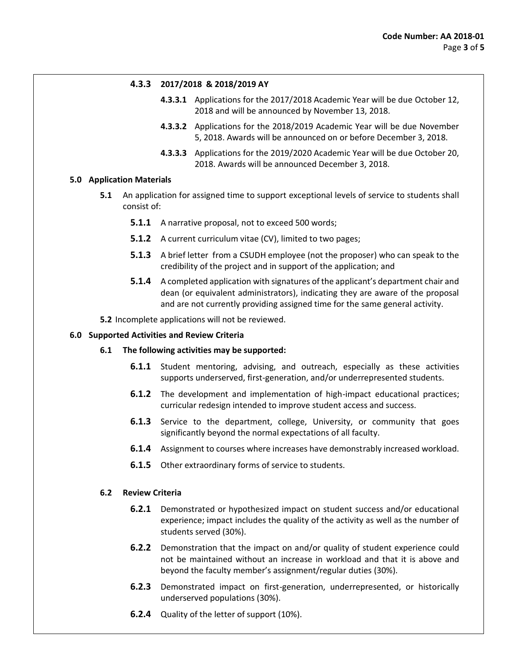#### **4.3.3 2017/2018 & 2018/2019 AY**

- **4.3.3.1** Applications for the 2017/2018 Academic Year will be due October 12, 2018 and will be announced by November 13, 2018.
- **4.3.3.2** Applications for the 2018/2019 Academic Year will be due November 5, 2018. Awards will be announced on or before December 3, 2018.
- **4.3.3.3** Applications for the 2019/2020 Academic Year will be due October 20, 2018. Awards will be announced December 3, 2018.

#### **5.0 Application Materials**

- **5.1** An application for assigned time to support exceptional levels of service to students shall consist of:
	- **5.1.1** A narrative proposal, not to exceed 500 words;
	- **5.1.2** A current curriculum vitae (CV), limited to two pages;
	- **5.1.3** A brief letter from a CSUDH employee (not the proposer) who can speak to the credibility of the project and in support of the application; and
	- **5.1.4** A completed application with signatures of the applicant's department chair and dean (or equivalent administrators), indicating they are aware of the proposal and are not currently providing assigned time for the same general activity.
- **5.2** Incomplete applications will not be reviewed.

#### **6.0 Supported Activities and Review Criteria**

#### **6.1 The following activities may be supported:**

- **6.1.1** Student mentoring, advising, and outreach, especially as these activities supports underserved, first-generation, and/or underrepresented students.
- **6.1.2** The development and implementation of high-impact educational practices; curricular redesign intended to improve student access and success.
- **6.1.3** Service to the department, college, University, or community that goes significantly beyond the normal expectations of all faculty.
- **6.1.4** Assignment to courses where increases have demonstrably increased workload.
- **6.1.5** Other extraordinary forms of service to students.

#### **6.2 Review Criteria**

- **6.2.1** Demonstrated or hypothesized impact on student success and/or educational experience; impact includes the quality of the activity as well as the number of students served (30%).
- **6.2.2** Demonstration that the impact on and/or quality of student experience could not be maintained without an increase in workload and that it is above and beyond the faculty member's assignment/regular duties (30%).
- **6.2.3** Demonstrated impact on first-generation, underrepresented, or historically underserved populations (30%).
- **6.2.4** Quality of the letter of support (10%).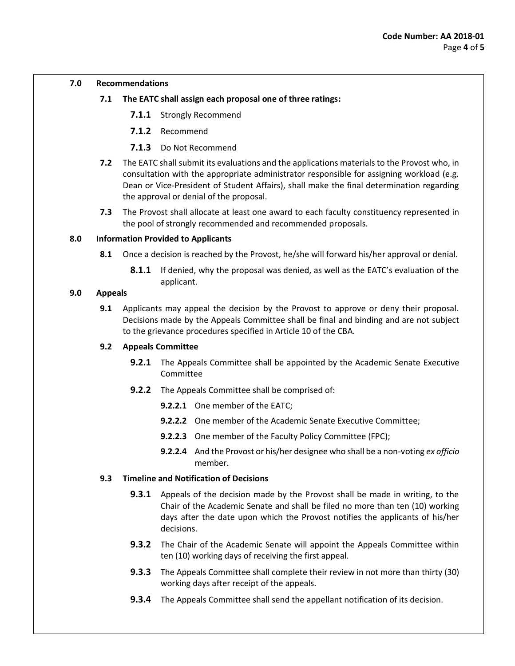#### **7.0 Recommendations**

- **7.1 The EATC shall assign each proposal one of three ratings:** 
	- **7.1.1** Strongly Recommend
	- **7.1.2** Recommend
	- **7.1.3** Do Not Recommend
- **7.2** The EATC shall submit its evaluations and the applications materials to the Provost who, in consultation with the appropriate administrator responsible for assigning workload (e.g. Dean or Vice-President of Student Affairs), shall make the final determination regarding the approval or denial of the proposal.
- **7.3** The Provost shall allocate at least one award to each faculty constituency represented in the pool of strongly recommended and recommended proposals.

#### **8.0 Information Provided to Applicants**

- **8.1** Once a decision is reached by the Provost, he/she will forward his/her approval or denial.
	- **8.1.1** If denied, why the proposal was denied, as well as the EATC's evaluation of the applicant.

#### **9.0 Appeals**

 **9.1** Applicants may appeal the decision by the Provost to approve or deny their proposal. Decisions made by the Appeals Committee shall be final and binding and are not subject to the grievance procedures specified in Article 10 of the CBA.

## **9.2 Appeals Committee**

- **9.2.1** The Appeals Committee shall be appointed by the Academic Senate Executive Committee
- **9.2.2** The Appeals Committee shall be comprised of:
	- **9.2.2.1** One member of the EATC;
	- **9.2.2.2** One member of the Academic Senate Executive Committee;
	- **9.2.2.3** One member of the Faculty Policy Committee (FPC);
	- **9.2.2.4** And the Provost or his/her designee who shall be a non-voting *ex officio*  member.

## **9.3 Timeline and Notification of Decisions**

- **9.3.1** Appeals of the decision made by the Provost shall be made in writing, to the Chair of the Academic Senate and shall be filed no more than ten (10) working days after the date upon which the Provost notifies the applicants of his/her decisions.
- **9.3.2** The Chair of the Academic Senate will appoint the Appeals Committee within ten (10) working days of receiving the first appeal.
- **9.3.3** The Appeals Committee shall complete their review in not more than thirty (30) working days after receipt of the appeals.
- **9.3.4** The Appeals Committee shall send the appellant notification of its decision.